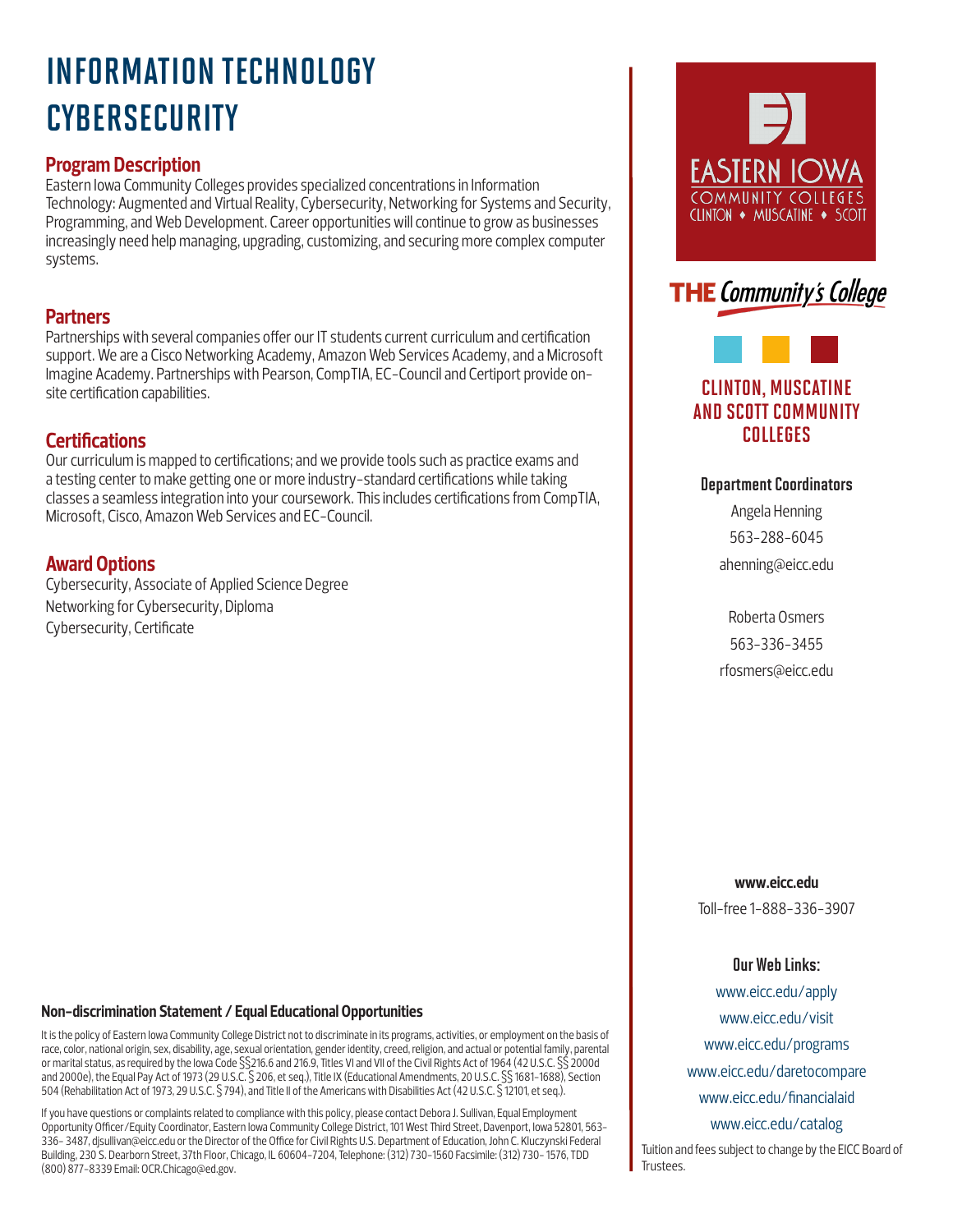# INFORMATION TECHNOLOGY **CYBERSECURITY**

## **Program Description**

Eastern Iowa Community Colleges provides specialized concentrations in Information Technology: Augmented and Virtual Reality, Cybersecurity, Networking for Systems and Security, Programming, and Web Development. Career opportunities will continue to grow as businesses increasingly need help managing, upgrading, customizing, and securing more complex computer systems.

## **Partners**

Partnerships with several companies offer our IT students current curriculum and certification support. We are a Cisco Networking Academy, Amazon Web Services Academy, and a Microsoft Imagine Academy. Partnerships with Pearson, CompTIA, EC-Council and Certiport provide onsite certification capabilities.

## **Certifications**

Our curriculum is mapped to certifications; and we provide tools such as practice exams and a testing center to make getting one or more industry-standard certifications while taking classes a seamless integration into your coursework. This includes certifications from CompTIA, Microsoft, Cisco, Amazon Web Services and EC-Council.

## **Award Options**

Cybersecurity, Associate of Applied Science Degree Networking for Cybersecurity, Diploma Cybersecurity, Certificate

#### **Non-discrimination Statement / Equal Educational Opportunities**

It is the policy of Eastern Iowa Community College District not to discriminate in its programs, activities, or employment on the basis of race, color, national origin, sex, disability, age, sexual orientation, gender identity, creed, religion, and actual or potential family, parental or marital status, as required by the Iowa Code §§216.6 and 216.9, Titles VI and VII of the Civil Rights Act of 1964 (42 U.S.C. §§ 2000d and 2000e), the Equal Pay Act of 1973 (29 U.S.C. § 206, et seq.), Title IX (Educational Amendments, 20 U.S.C. §§ 1681-1688), Section 504 (Rehabilitation Act of 1973, 29 U.S.C. § 794), and Title II of the Americans with Disabilities Act (42 U.S.C. § 12101, et seq.).

If you have questions or complaints related to compliance with this policy, please contact Debora J. Sullivan, Equal Employment Opportunity Officer/Equity Coordinator, Eastern Iowa Community College District, 101 West Third Street, Davenport, Iowa 52801, 563- 336- 3487, djsullivan@eicc.edu or the Director of the Office for Civil Rights U.S. Department of Education, John C. Kluczynski Federal Building, 230 S. Dearborn Street, 37th Floor, Chicago, IL 60604-7204, Telephone: (312) 730-1560 Facsimile: (312) 730- 1576, TDD (800) 877-8339 Email: OCR.Chicago@ed.gov.





# CLINTON, MUSCATINE AND SCOTT COMMUNITY COLLEGES

#### Department Coordinators

Angela Henning 563-288-6045 ahenning@eicc.edu

Roberta Osmers 563-336-3455 rfosmers@eicc.edu

**www.eicc.edu**

Toll-free 1-888-336-3907

#### Our Web Links:

www.eicc.edu/apply www.eicc.edu/visit www.eicc.edu/programs www.eicc.edu/daretocompare www.eicc.edu/financialaid www.eicc.edu/catalog Tuition and fees subject to change by the EICC Board of

Trustees.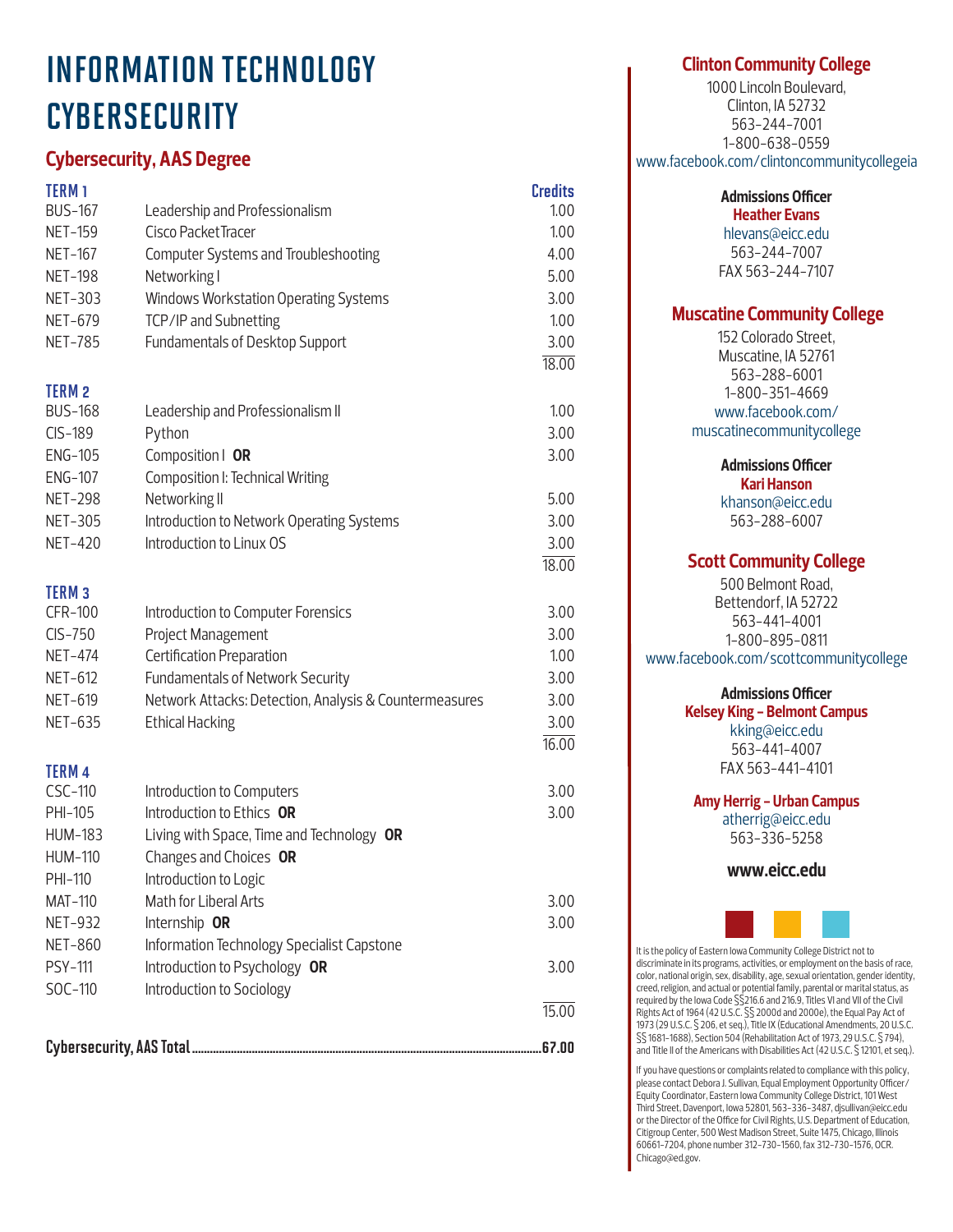# INFORMATION TECHNOLOGY **CYBERSECURITY**

# **Cybersecurity, AAS Degree**

| <b>TERM1</b>   |                                                        | <b>Credits</b> |
|----------------|--------------------------------------------------------|----------------|
| <b>BUS-167</b> | Leadership and Professionalism                         | 1.00           |
| <b>NET-159</b> | Cisco Packet Tracer                                    | 1.00           |
| <b>NET-167</b> | <b>Computer Systems and Troubleshooting</b>            | 4.00           |
| <b>NET-198</b> | Networking I                                           | 5.00           |
| <b>NET-303</b> | Windows Workstation Operating Systems                  | 3.00           |
| <b>NET-679</b> | TCP/IP and Subnetting                                  | 1.00           |
| <b>NET-785</b> | Fundamentals of Desktop Support                        | 3.00           |
|                |                                                        | 18.00          |
| <b>TERM2</b>   |                                                        |                |
| <b>BUS-168</b> | Leadership and Professionalism II                      | 1.00           |
| CIS-189        | Python                                                 | 3.00           |
| <b>ENG-105</b> | Composition   OR                                       | 3.00           |
| <b>ENG-107</b> | Composition I: Technical Writing                       |                |
| <b>NET-298</b> | Networking II                                          | 5.00           |
| <b>NET-305</b> | Introduction to Network Operating Systems              | 3.00           |
| <b>NET-420</b> | Introduction to Linux OS                               | 3.00           |
|                |                                                        | 18.00          |
| <b>TERM3</b>   |                                                        |                |
| <b>CFR-100</b> | Introduction to Computer Forensics                     | 3.00           |
| $CIS-750$      | Project Management                                     | 3.00           |
| <b>NET-474</b> | Certification Preparation                              | 1.00           |
| <b>NET-612</b> | Fundamentals of Network Security                       | 3.00           |
| <b>NET-619</b> | Network Attacks: Detection, Analysis & Countermeasures | 3.00           |
| <b>NET-635</b> | <b>Ethical Hacking</b>                                 | 3.00           |
|                |                                                        | 16.00          |
| <b>TERM4</b>   |                                                        |                |
| CSC-110        | Introduction to Computers                              | 3.00           |
| PHI-105        | Introduction to Ethics OR                              | 3.00           |
| <b>HUM-183</b> | Living with Space, Time and Technology OR              |                |
| <b>HUM-110</b> | Changes and Choices OR                                 |                |
| PHI-110        | Introduction to Logic                                  |                |
| <b>MAT-110</b> | Math for Liberal Arts                                  | 3.00           |
| <b>NET-932</b> | Internship OR                                          | 3.00           |
| <b>NET-860</b> | Information Technology Specialist Capstone             |                |
| <b>PSY-111</b> | Introduction to Psychology OR                          | 3.00           |
| SOC-110        | Introduction to Sociology                              |                |
|                |                                                        | 15.00          |
|                |                                                        |                |

## **Clinton Community College**

1000 Lincoln Boulevard, Clinton, IA 52732 563-244-7001 1-800-638-0559 www.facebook.com/clintoncommunitycollegeia

> **Admissions Officer Heather Evans**

hlevans@eicc.edu 563-244-7007 FAX 563-244-7107

## **Muscatine Community College**

152 Colorado Street, Muscatine, IA 52761 563-288-6001 1-800-351-4669 www.facebook.com/ muscatinecommunitycollege

> **Admissions Officer Kari Hanson**

khanson@eicc.edu 563-288-6007

## **Scott Community College**

500 Belmont Road, Bettendorf, IA 52722 563-441-4001 1-800-895-0811 www.facebook.com/scottcommunitycollege

## **Admissions Officer**

**Kelsey King - Belmont Campus** kking@eicc.edu 563-441-4007 FAX 563-441-4101

**Amy Herrig - Urban Campus**

atherrig@eicc.edu 563-336-5258

**www.eicc.edu**



It is the policy of Eastern Iowa Community College District not to discriminate in its programs, activities, or employment on the basis of race, color, national origin, sex, disability, age, sexual orientation, gender identity, creed, religion, and actual or potential family, parental or marital status, as required by the Iowa Code §§216.6 and 216.9, Titles VI and VII of the Civil Rights Act of 1964 (42 U.S.C. §§ 2000d and 2000e), the Equal Pay Act of 1973 (29 U.S.C. § 206, et seq.), Title IX (Educational Amendments, 20 U.S.C. §§ 1681-1688), Section 504 (Rehabilitation Act of 1973, 29 U.S.C. § 794), and Title II of the Americans with Disabilities Act (42 U.S.C. § 12101, et seq.).

If you have questions or complaints related to compliance with this policy, please contact Debora J. Sullivan, Equal Employment Opportunity Officer/ Equity Coordinator, Eastern Iowa Community College District, 101 West Third Street, Davenport, Iowa 52801, 563-336-3487, djsullivan@eicc.edu or the Director of the Office for Civil Rights, U.S. Department of Education, Citigroup Center, 500 West Madison Street, Suite 1475, Chicago, Illinois 60661-7204, phone number 312-730-1560, fax 312-730-1576, OCR. Chicago@ed.gov.